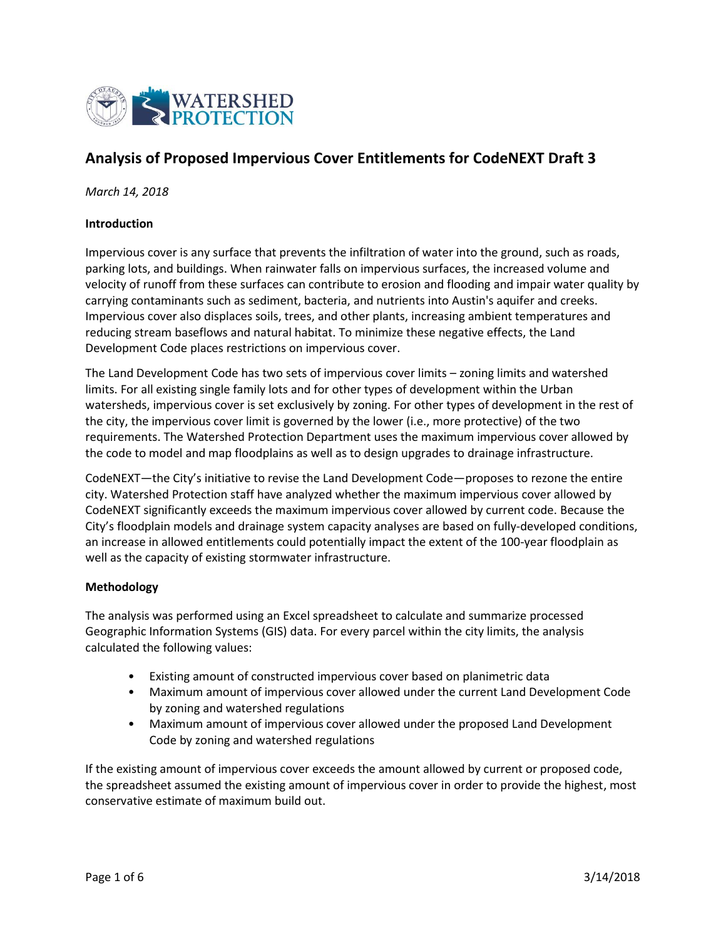

# **Analysis of Proposed Impervious Cover Entitlements for CodeNEXT Draft 3**

*March 14, 2018*

#### **Introduction**

Impervious cover is any surface that prevents the infiltration of water into the ground, such as roads, parking lots, and buildings. When rainwater falls on impervious surfaces, the increased volume and velocity of runoff from these surfaces can contribute to erosion and flooding and impair water quality by carrying contaminants such as sediment, bacteria, and nutrients into Austin's aquifer and creeks. Impervious cover also displaces soils, trees, and other plants, increasing ambient temperatures and reducing stream baseflows and natural habitat. To minimize these negative effects, the Land Development Code places restrictions on impervious cover.

The Land Development Code has two sets of impervious cover limits – zoning limits and watershed limits. For all existing single family lots and for other types of development within the Urban watersheds, impervious cover is set exclusively by zoning. For other types of development in the rest of the city, the impervious cover limit is governed by the lower (i.e., more protective) of the two requirements. The Watershed Protection Department uses the maximum impervious cover allowed by the code to model and map floodplains as well as to design upgrades to drainage infrastructure.

CodeNEXT—the City's initiative to revise the Land Development Code—proposes to rezone the entire city. Watershed Protection staff have analyzed whether the maximum impervious cover allowed by CodeNEXT significantly exceeds the maximum impervious cover allowed by current code. Because the City's floodplain models and drainage system capacity analyses are based on fully-developed conditions, an increase in allowed entitlements could potentially impact the extent of the 100-year floodplain as well as the capacity of existing stormwater infrastructure.

## **Methodology**

The analysis was performed using an Excel spreadsheet to calculate and summarize processed Geographic Information Systems (GIS) data. For every parcel within the city limits, the analysis calculated the following values:

- Existing amount of constructed impervious cover based on planimetric data
- Maximum amount of impervious cover allowed under the current Land Development Code by zoning and watershed regulations
- Maximum amount of impervious cover allowed under the proposed Land Development Code by zoning and watershed regulations

If the existing amount of impervious cover exceeds the amount allowed by current or proposed code, the spreadsheet assumed the existing amount of impervious cover in order to provide the highest, most conservative estimate of maximum build out.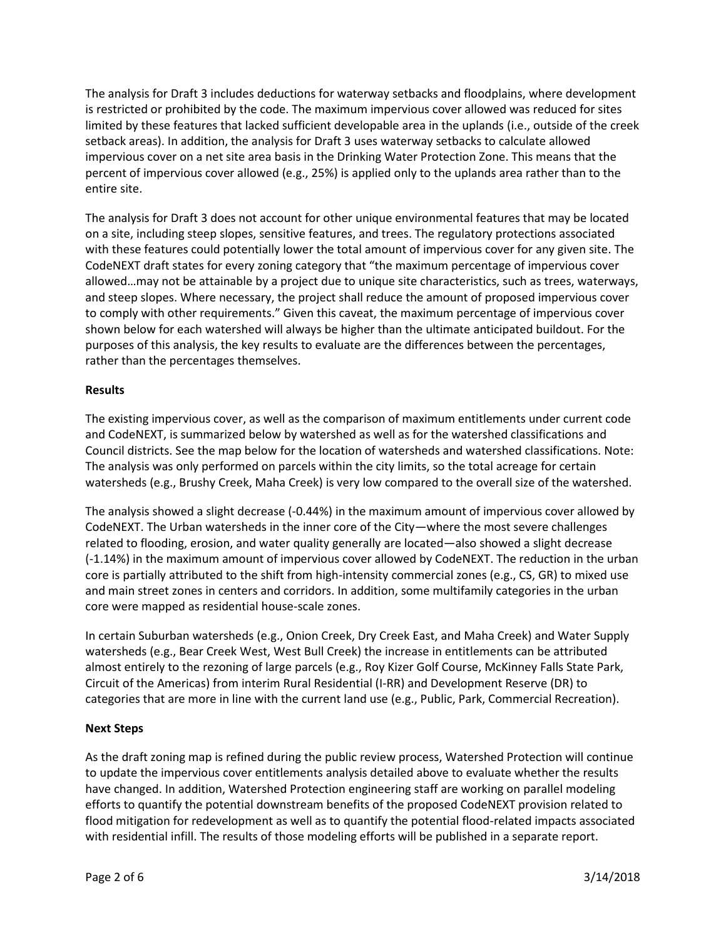The analysis for Draft 3 includes deductions for waterway setbacks and floodplains, where development is restricted or prohibited by the code. The maximum impervious cover allowed was reduced for sites limited by these features that lacked sufficient developable area in the uplands (i.e., outside of the creek setback areas). In addition, the analysis for Draft 3 uses waterway setbacks to calculate allowed impervious cover on a net site area basis in the Drinking Water Protection Zone. This means that the percent of impervious cover allowed (e.g., 25%) is applied only to the uplands area rather than to the entire site.

The analysis for Draft 3 does not account for other unique environmental features that may be located on a site, including steep slopes, sensitive features, and trees. The regulatory protections associated with these features could potentially lower the total amount of impervious cover for any given site. The CodeNEXT draft states for every zoning category that "the maximum percentage of impervious cover allowed…may not be attainable by a project due to unique site characteristics, such as trees, waterways, and steep slopes. Where necessary, the project shall reduce the amount of proposed impervious cover to comply with other requirements." Given this caveat, the maximum percentage of impervious cover shown below for each watershed will always be higher than the ultimate anticipated buildout. For the purposes of this analysis, the key results to evaluate are the differences between the percentages, rather than the percentages themselves.

## **Results**

The existing impervious cover, as well as the comparison of maximum entitlements under current code and CodeNEXT, is summarized below by watershed as well as for the watershed classifications and Council districts. See the map below for the location of watersheds and watershed classifications. Note: The analysis was only performed on parcels within the city limits, so the total acreage for certain watersheds (e.g., Brushy Creek, Maha Creek) is very low compared to the overall size of the watershed.

The analysis showed a slight decrease (-0.44%) in the maximum amount of impervious cover allowed by CodeNEXT. The Urban watersheds in the inner core of the City—where the most severe challenges related to flooding, erosion, and water quality generally are located—also showed a slight decrease (-1.14%) in the maximum amount of impervious cover allowed by CodeNEXT. The reduction in the urban core is partially attributed to the shift from high-intensity commercial zones (e.g., CS, GR) to mixed use and main street zones in centers and corridors. In addition, some multifamily categories in the urban core were mapped as residential house-scale zones.

In certain Suburban watersheds (e.g., Onion Creek, Dry Creek East, and Maha Creek) and Water Supply watersheds (e.g., Bear Creek West, West Bull Creek) the increase in entitlements can be attributed almost entirely to the rezoning of large parcels (e.g., Roy Kizer Golf Course, McKinney Falls State Park, Circuit of the Americas) from interim Rural Residential (I-RR) and Development Reserve (DR) to categories that are more in line with the current land use (e.g., Public, Park, Commercial Recreation).

## **Next Steps**

As the draft zoning map is refined during the public review process, Watershed Protection will continue to update the impervious cover entitlements analysis detailed above to evaluate whether the results have changed. In addition, Watershed Protection engineering staff are working on parallel modeling efforts to quantify the potential downstream benefits of the proposed CodeNEXT provision related to flood mitigation for redevelopment as well as to quantify the potential flood-related impacts associated with residential infill. The results of those modeling efforts will be published in a separate report.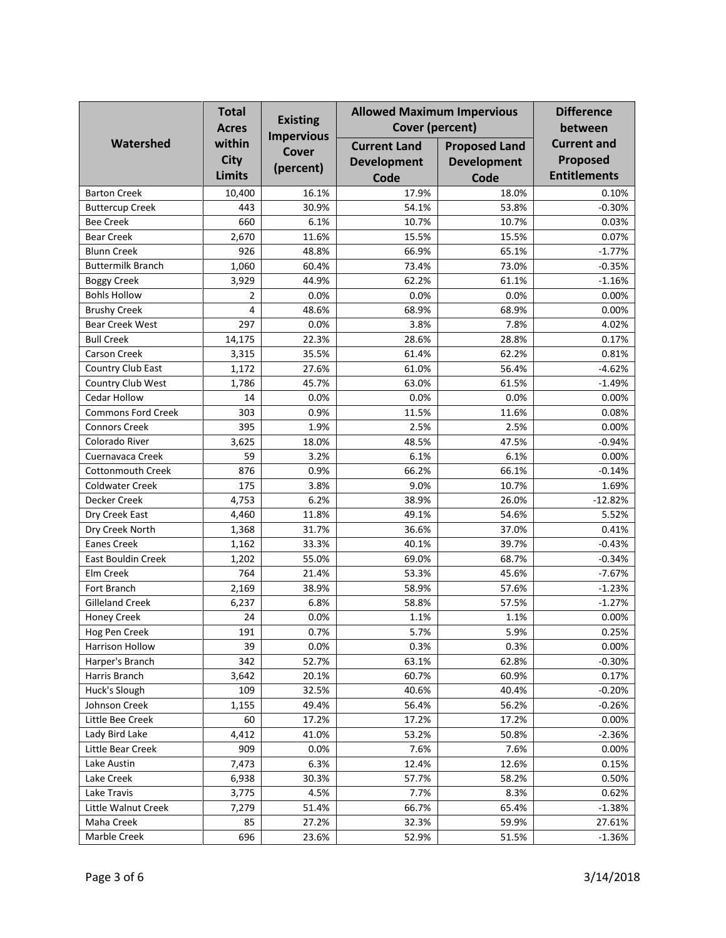| Watershed                 | <b>Total</b><br><b>Acres</b><br>within<br><b>City</b><br><b>Limits</b> | <b>Existing</b><br><b>Impervious</b><br><b>Cover</b><br>(percent) | <b>Allowed Maximum Impervious</b><br><b>Cover (percent)</b> |                                                    | <b>Difference</b><br>between                          |
|---------------------------|------------------------------------------------------------------------|-------------------------------------------------------------------|-------------------------------------------------------------|----------------------------------------------------|-------------------------------------------------------|
|                           |                                                                        |                                                                   | <b>Current Land</b><br><b>Development</b><br>Code           | <b>Proposed Land</b><br><b>Development</b><br>Code | <b>Current and</b><br>Proposed<br><b>Entitlements</b> |
| <b>Barton Creek</b>       | 10,400                                                                 | 16.1%                                                             | 17.9%                                                       | 18.0%                                              | 0.10%                                                 |
| <b>Buttercup Creek</b>    | 443                                                                    | 30.9%                                                             | 54.1%                                                       | 53.8%                                              | $-0.30%$                                              |
| <b>Bee Creek</b>          | 660                                                                    | 6.1%                                                              | 10.7%                                                       | 10.7%                                              | 0.03%                                                 |
| <b>Bear Creek</b>         | 2,670                                                                  | 11.6%                                                             | 15.5%                                                       | 15.5%                                              | 0.07%                                                 |
| <b>Blunn Creek</b>        | 926                                                                    | 48.8%                                                             | 66.9%                                                       | 65.1%                                              | $-1.77%$                                              |
| <b>Buttermilk Branch</b>  | 1,060                                                                  | 60.4%                                                             | 73.4%                                                       | 73.0%                                              | $-0.35%$                                              |
| <b>Boggy Creek</b>        | 3,929                                                                  | 44.9%                                                             | 62.2%                                                       | 61.1%                                              | $-1.16%$                                              |
| <b>Bohls Hollow</b>       | $\overline{2}$                                                         | 0.0%                                                              | 0.0%                                                        | 0.0%                                               | 0.00%                                                 |
| <b>Brushy Creek</b>       | 4                                                                      | 48.6%                                                             | 68.9%                                                       | 68.9%                                              | 0.00%                                                 |
| <b>Bear Creek West</b>    | 297                                                                    | 0.0%                                                              | 3.8%                                                        | 7.8%                                               | 4.02%                                                 |
| <b>Bull Creek</b>         | 14,175                                                                 | 22.3%                                                             | 28.6%                                                       | 28.8%                                              | 0.17%                                                 |
| Carson Creek              | 3,315                                                                  | 35.5%                                                             | 61.4%                                                       | 62.2%                                              | 0.81%                                                 |
| Country Club East         | 1,172                                                                  | 27.6%                                                             | 61.0%                                                       | 56.4%                                              | $-4.62%$                                              |
| Country Club West         | 1,786                                                                  | 45.7%                                                             | 63.0%                                                       | 61.5%                                              | $-1.49%$                                              |
| Cedar Hollow              | 14                                                                     | 0.0%                                                              | 0.0%                                                        | 0.0%                                               | 0.00%                                                 |
| <b>Commons Ford Creek</b> | 303                                                                    | 0.9%                                                              | 11.5%                                                       | 11.6%                                              | 0.08%                                                 |
| <b>Connors Creek</b>      | 395                                                                    | 1.9%                                                              | 2.5%                                                        | 2.5%                                               | 0.00%                                                 |
| Colorado River            | 3,625                                                                  | 18.0%                                                             | 48.5%                                                       | 47.5%                                              | $-0.94%$                                              |
| Cuernavaca Creek          | 59                                                                     | 3.2%                                                              | 6.1%                                                        | 6.1%                                               | 0.00%                                                 |
| <b>Cottonmouth Creek</b>  | 876                                                                    | 0.9%                                                              | 66.2%                                                       | 66.1%                                              | $-0.14%$                                              |
| <b>Coldwater Creek</b>    | 175                                                                    | 3.8%                                                              | 9.0%                                                        | 10.7%                                              | 1.69%                                                 |
| Decker Creek              | 4,753                                                                  | 6.2%                                                              | 38.9%                                                       | 26.0%                                              | $-12.82%$                                             |
| Dry Creek East            | 4,460                                                                  | 11.8%                                                             | 49.1%                                                       | 54.6%                                              | 5.52%                                                 |
| Dry Creek North           | 1,368                                                                  | 31.7%                                                             | 36.6%                                                       | 37.0%                                              | 0.41%                                                 |
| <b>Eanes Creek</b>        | 1,162                                                                  | 33.3%                                                             | 40.1%                                                       | 39.7%                                              | $-0.43%$                                              |
| <b>East Bouldin Creek</b> | 1,202                                                                  | 55.0%                                                             | 69.0%                                                       | 68.7%                                              | $-0.34%$                                              |
| Elm Creek                 | 764                                                                    | 21.4%                                                             | 53.3%                                                       | 45.6%                                              | $-7.67%$                                              |
| Fort Branch               | 2,169                                                                  | 38.9%                                                             | 58.9%                                                       | 57.6%                                              | $-1.23%$                                              |
| <b>Gilleland Creek</b>    | 6,237                                                                  | 6.8%                                                              | 58.8%                                                       | 57.5%                                              | $-1.27%$                                              |
| <b>Honey Creek</b>        | 24                                                                     | 0.0%                                                              | 1.1%                                                        | 1.1%                                               | 0.00%                                                 |
| Hog Pen Creek             | 191                                                                    | 0.7%                                                              | 5.7%                                                        | 5.9%                                               | 0.25%                                                 |
| Harrison Hollow           | 39                                                                     | 0.0%                                                              | 0.3%                                                        | 0.3%                                               | 0.00%                                                 |
| Harper's Branch           | 342                                                                    | 52.7%                                                             | 63.1%                                                       | 62.8%                                              | $-0.30%$                                              |
| Harris Branch             | 3,642                                                                  | 20.1%                                                             | 60.7%                                                       | 60.9%                                              | 0.17%                                                 |
| Huck's Slough             | 109                                                                    | 32.5%                                                             | 40.6%                                                       | 40.4%                                              | $-0.20%$                                              |
| Johnson Creek             | 1,155                                                                  | 49.4%                                                             | 56.4%                                                       | 56.2%                                              | $-0.26%$                                              |
| Little Bee Creek          | 60                                                                     | 17.2%                                                             | 17.2%                                                       | 17.2%                                              | 0.00%                                                 |
| Lady Bird Lake            | 4,412                                                                  | 41.0%                                                             | 53.2%                                                       | 50.8%                                              | $-2.36%$                                              |
| Little Bear Creek         | 909                                                                    | 0.0%                                                              | 7.6%                                                        | 7.6%                                               | 0.00%                                                 |
| Lake Austin               | 7,473                                                                  | 6.3%                                                              | 12.4%                                                       | 12.6%                                              | 0.15%                                                 |
| Lake Creek                | 6,938                                                                  | 30.3%                                                             | 57.7%                                                       | 58.2%                                              | 0.50%                                                 |
| Lake Travis               | 3,775                                                                  | 4.5%                                                              | 7.7%                                                        | 8.3%                                               | 0.62%                                                 |
| Little Walnut Creek       | 7,279                                                                  | 51.4%                                                             | 66.7%                                                       | 65.4%                                              | $-1.38%$                                              |
| Maha Creek                | 85                                                                     | 27.2%                                                             | 32.3%                                                       | 59.9%                                              | 27.61%                                                |
| Marble Creek              | 696                                                                    | 23.6%                                                             | 52.9%                                                       | 51.5%                                              | $-1.36%$                                              |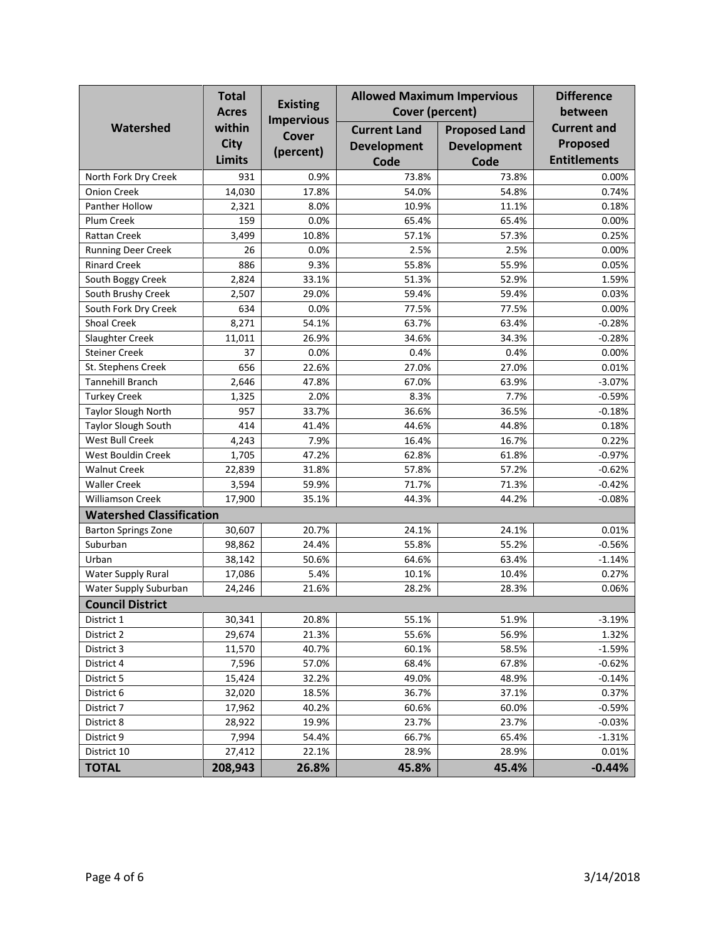|                                 | <b>Total</b><br><b>Acres</b> | <b>Existing</b><br><b>Impervious</b> | <b>Allowed Maximum Impervious</b> |                      | <b>Difference</b>   |  |  |  |
|---------------------------------|------------------------------|--------------------------------------|-----------------------------------|----------------------|---------------------|--|--|--|
|                                 |                              |                                      | Cover (percent)                   |                      | between             |  |  |  |
| Watershed                       | within                       | <b>Cover</b>                         | <b>Current Land</b>               | <b>Proposed Land</b> | <b>Current and</b>  |  |  |  |
|                                 | <b>City</b>                  | (percent)                            | <b>Development</b>                | <b>Development</b>   | Proposed            |  |  |  |
|                                 | <b>Limits</b>                |                                      | Code                              | Code                 | <b>Entitlements</b> |  |  |  |
| North Fork Dry Creek            | 931                          | 0.9%                                 | 73.8%                             | 73.8%                | 0.00%               |  |  |  |
| <b>Onion Creek</b>              | 14,030                       | 17.8%                                | 54.0%                             | 54.8%                | 0.74%               |  |  |  |
| Panther Hollow                  | 2,321                        | 8.0%                                 | 10.9%                             | 11.1%                | 0.18%               |  |  |  |
| Plum Creek                      | 159                          | 0.0%                                 | 65.4%                             | 65.4%                | 0.00%               |  |  |  |
| Rattan Creek                    | 3,499                        | 10.8%                                | 57.1%                             | 57.3%                | 0.25%               |  |  |  |
| <b>Running Deer Creek</b>       | 26                           | 0.0%                                 | 2.5%                              | 2.5%                 | 0.00%               |  |  |  |
| <b>Rinard Creek</b>             | 886                          | 9.3%                                 | 55.8%                             | 55.9%                | 0.05%               |  |  |  |
| South Boggy Creek               | 2,824                        | 33.1%                                | 51.3%                             | 52.9%                | 1.59%               |  |  |  |
| South Brushy Creek              | 2,507                        | 29.0%                                | 59.4%                             | 59.4%                | 0.03%               |  |  |  |
| South Fork Dry Creek            | 634                          | 0.0%                                 | 77.5%                             | 77.5%                | 0.00%               |  |  |  |
| <b>Shoal Creek</b>              | 8,271                        | 54.1%                                | 63.7%                             | 63.4%                | $-0.28%$            |  |  |  |
| Slaughter Creek                 | 11,011                       | 26.9%                                | 34.6%                             | 34.3%                | $-0.28%$            |  |  |  |
| <b>Steiner Creek</b>            | 37                           | 0.0%                                 | 0.4%                              | 0.4%                 | 0.00%               |  |  |  |
| St. Stephens Creek              | 656                          | 22.6%                                | 27.0%                             | 27.0%                | 0.01%               |  |  |  |
| <b>Tannehill Branch</b>         | 2,646                        | 47.8%                                | 67.0%                             | 63.9%                | $-3.07%$            |  |  |  |
| <b>Turkey Creek</b>             | 1,325                        | 2.0%                                 | 8.3%                              | 7.7%                 | $-0.59%$            |  |  |  |
| <b>Taylor Slough North</b>      | 957                          | 33.7%                                | 36.6%                             | 36.5%                | $-0.18%$            |  |  |  |
| <b>Taylor Slough South</b>      | 414                          | 41.4%                                | 44.6%                             | 44.8%                | 0.18%               |  |  |  |
| West Bull Creek                 | 4,243                        | 7.9%                                 | 16.4%                             | 16.7%                | 0.22%               |  |  |  |
| West Bouldin Creek              | 1,705                        | 47.2%                                | 62.8%                             | 61.8%                | $-0.97%$            |  |  |  |
| <b>Walnut Creek</b>             | 22,839                       | 31.8%                                | 57.8%                             | 57.2%                | $-0.62%$            |  |  |  |
| <b>Waller Creek</b>             | 3,594                        | 59.9%                                | 71.7%                             | 71.3%                | $-0.42%$            |  |  |  |
| Williamson Creek                | 17,900                       | 35.1%                                | 44.3%                             | 44.2%                | $-0.08%$            |  |  |  |
| <b>Watershed Classification</b> |                              |                                      |                                   |                      |                     |  |  |  |
| <b>Barton Springs Zone</b>      | 30,607                       | 20.7%                                | 24.1%                             | 24.1%                | 0.01%               |  |  |  |
| Suburban                        | 98,862                       | 24.4%                                | 55.8%                             | 55.2%                | $-0.56%$            |  |  |  |
| Urban                           | 38,142                       | 50.6%                                | 64.6%                             | 63.4%                | $-1.14%$            |  |  |  |
| <b>Water Supply Rural</b>       | 17,086                       | 5.4%                                 | 10.1%                             | 10.4%                | 0.27%               |  |  |  |
| Water Supply Suburban           | 24,246                       | 21.6%                                | 28.2%                             | 28.3%                | 0.06%               |  |  |  |
| <b>Council District</b>         |                              |                                      |                                   |                      |                     |  |  |  |
| District 1                      | 30,341                       | 20.8%                                | 55.1%                             | 51.9%                | $-3.19%$            |  |  |  |
| District 2                      | 29,674                       | 21.3%                                | 55.6%                             | 56.9%                | 1.32%               |  |  |  |
| District 3                      | 11,570                       | 40.7%                                | 60.1%                             | 58.5%                | $-1.59%$            |  |  |  |
| District 4                      | 7,596                        | 57.0%                                | 68.4%                             | 67.8%                | $-0.62%$            |  |  |  |
| District 5                      | 15,424                       | 32.2%                                | 49.0%                             | 48.9%                | $-0.14%$            |  |  |  |
| District 6                      | 32,020                       | 18.5%                                | 36.7%                             | 37.1%                | 0.37%               |  |  |  |
| District 7                      | 17,962                       | 40.2%                                | 60.6%                             | 60.0%                | $-0.59%$            |  |  |  |
| District 8                      | 28,922                       | 19.9%                                | 23.7%                             | 23.7%                | $-0.03%$            |  |  |  |
| District 9                      | 7,994                        | 54.4%                                | 66.7%                             | 65.4%                | $-1.31%$            |  |  |  |
| District 10                     | 27,412                       | 22.1%                                | 28.9%                             | 28.9%                | 0.01%               |  |  |  |
| <b>TOTAL</b>                    | 208,943                      | 26.8%                                | 45.8%                             | 45.4%                | $-0.44%$            |  |  |  |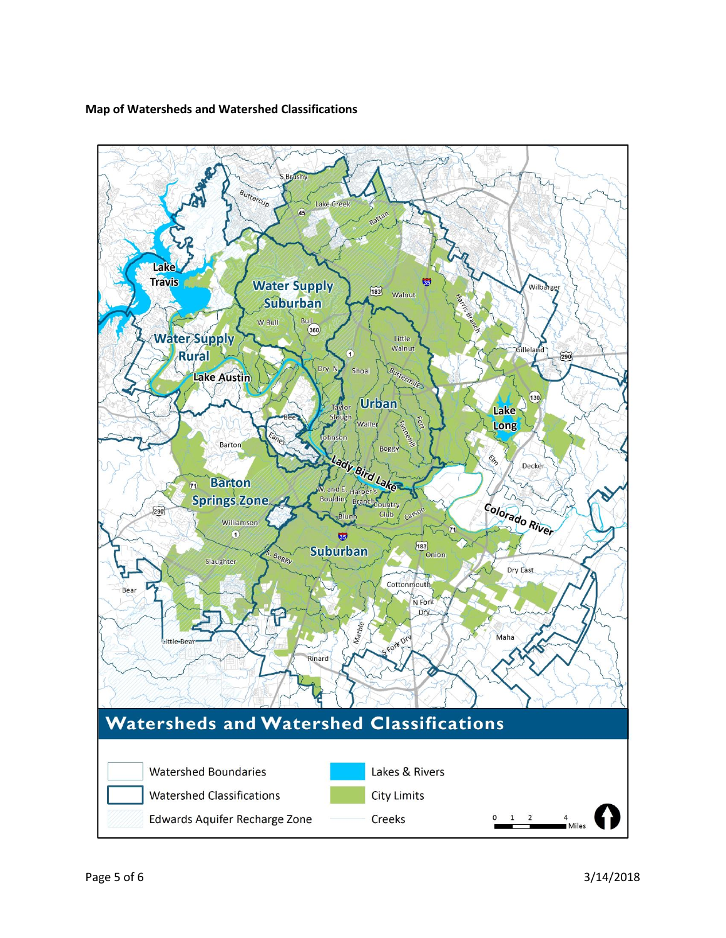#### **Map of Watersheds and Watershed Classifications**